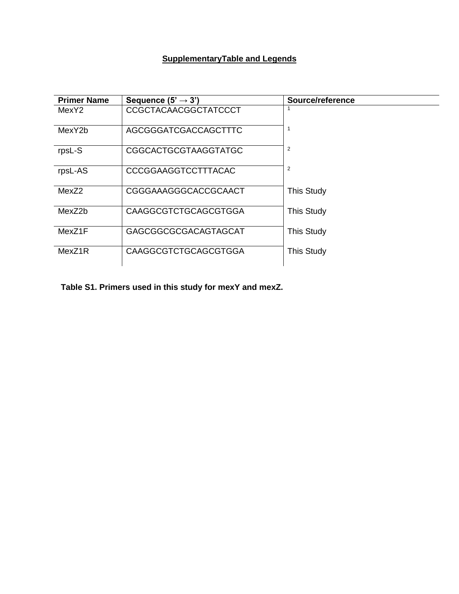## **SupplementaryTable and Legends**

| <b>Primer Name</b> | Sequence $(5' \rightarrow 3')$ | Source/reference  |
|--------------------|--------------------------------|-------------------|
| MexY2              | CCGCTACAACGGCTATCCCT           |                   |
| MexY2b             | <b>AGCGGGATCGACCAGCTTTC</b>    |                   |
| rpsL-S             | <b>CGGCACTGCGTAAGGTATGC</b>    | $\overline{2}$    |
| rpsL-AS            | CCCGGAAGGTCCTTTACAC            | $\overline{2}$    |
| MexZ2              | CGGGAAAGGGCACCGCAACT           | <b>This Study</b> |
| MexZ2b             | <b>CAAGGCGTCTGCAGCGTGGA</b>    | <b>This Study</b> |
| MexZ1F             | GAGCGGCGCGACAGTAGCAT           | <b>This Study</b> |
| MexZ1R             | <b>CAAGGCGTCTGCAGCGTGGA</b>    | <b>This Study</b> |

**Table S1. Primers used in this study for mexY and mexZ.**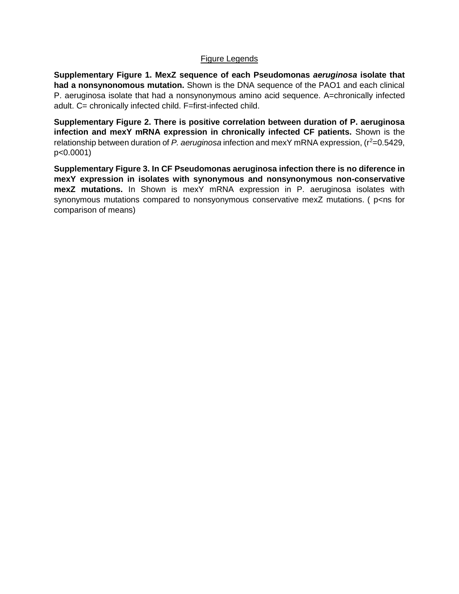#### Figure Legends

**Supplementary Figure 1. MexZ sequence of each Pseudomonas** *aeruginosa* **isolate that had a nonsynonomous mutation.** Shown is the DNA sequence of the PAO1 and each clinical P. aeruginosa isolate that had a nonsynonymous amino acid sequence. A=chronically infected adult. C= chronically infected child. F=first-infected child.

**Supplementary Figure 2. There is positive correlation between duration of P. aeruginosa infection and mexY mRNA expression in chronically infected CF patients.** Shown is the relationship between duration of *P. aeruginosa* infection and mexY mRNA expression,  $(r^2=0.5429,$ p<0.0001)

**Supplementary Figure 3. In CF Pseudomonas aeruginosa infection there is no diference in mexY expression in isolates with synonymous and nonsynonymous non-conservative mexZ mutations.** In Shown is mexY mRNA expression in P. aeruginosa isolates with synonymous mutations compared to nonsyonymous conservative mexZ mutations. (p<ns for comparison of means)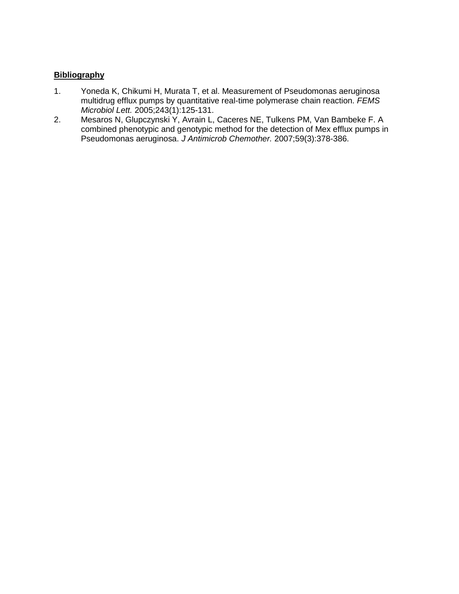### **Bibliography**

- 1. Yoneda K, Chikumi H, Murata T, et al. Measurement of Pseudomonas aeruginosa multidrug efflux pumps by quantitative real-time polymerase chain reaction. *FEMS Microbiol Lett.* 2005;243(1):125-131.
- 2. Mesaros N, Glupczynski Y, Avrain L, Caceres NE, Tulkens PM, Van Bambeke F. A combined phenotypic and genotypic method for the detection of Mex efflux pumps in Pseudomonas aeruginosa. *J Antimicrob Chemother.* 2007;59(3):378-386.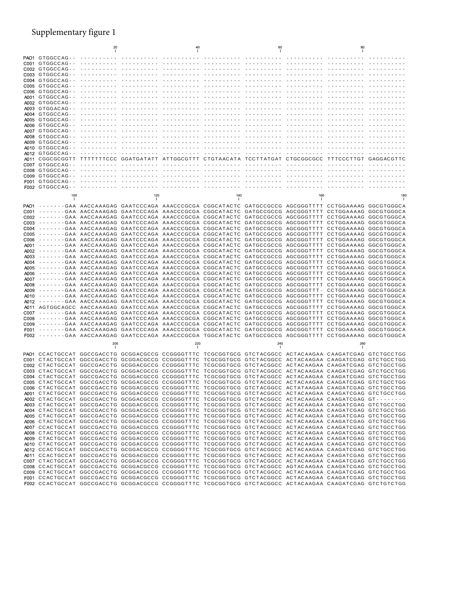# Supplementary figure 1

|     | 20  |     | 40  |     | 60                                                                                                                                                                                                                 |     | 80  |                                                                                                         |
|-----|-----|-----|-----|-----|--------------------------------------------------------------------------------------------------------------------------------------------------------------------------------------------------------------------|-----|-----|---------------------------------------------------------------------------------------------------------|
|     |     |     |     |     |                                                                                                                                                                                                                    |     |     |                                                                                                         |
|     |     |     |     |     |                                                                                                                                                                                                                    |     |     |                                                                                                         |
|     |     |     |     |     |                                                                                                                                                                                                                    |     |     |                                                                                                         |
|     |     |     |     |     |                                                                                                                                                                                                                    |     |     |                                                                                                         |
|     |     |     |     |     |                                                                                                                                                                                                                    |     |     |                                                                                                         |
|     |     |     |     |     |                                                                                                                                                                                                                    |     |     |                                                                                                         |
|     |     |     |     |     |                                                                                                                                                                                                                    |     |     |                                                                                                         |
|     |     |     |     |     |                                                                                                                                                                                                                    |     |     |                                                                                                         |
|     |     |     |     |     |                                                                                                                                                                                                                    |     |     |                                                                                                         |
|     |     |     |     |     |                                                                                                                                                                                                                    |     |     |                                                                                                         |
|     |     |     |     |     |                                                                                                                                                                                                                    |     |     |                                                                                                         |
|     |     |     |     |     |                                                                                                                                                                                                                    |     |     |                                                                                                         |
|     |     |     |     |     |                                                                                                                                                                                                                    |     |     |                                                                                                         |
|     |     |     |     |     |                                                                                                                                                                                                                    |     |     |                                                                                                         |
|     |     |     |     |     |                                                                                                                                                                                                                    |     |     |                                                                                                         |
|     |     |     |     |     |                                                                                                                                                                                                                    |     |     |                                                                                                         |
|     |     |     |     |     | A011 CGGCGCGGTT TTTTTTTCCC GGATGATATT ATTGGCGTTT CTGTAACATA TCCTTATGAT CTGCGGCGCC TTTCCCTTGT GAGGACGTTC                                                                                                            |     |     |                                                                                                         |
|     |     |     |     |     |                                                                                                                                                                                                                    |     |     |                                                                                                         |
|     |     |     |     |     |                                                                                                                                                                                                                    |     |     |                                                                                                         |
|     |     |     |     |     |                                                                                                                                                                                                                    |     |     |                                                                                                         |
|     |     |     |     |     |                                                                                                                                                                                                                    |     |     |                                                                                                         |
| 100 |     | 120 |     | 140 |                                                                                                                                                                                                                    | 160 |     | 180                                                                                                     |
|     |     |     |     |     |                                                                                                                                                                                                                    |     |     |                                                                                                         |
|     |     |     |     |     | PAO1 -------GAA AACCAAAGAG GAATCCCAGA AAACCCGCGA CGGCATACTC GATGCCGCCG AGCGGGTTTT CCTGGAAAAG GGCGTGGGCA<br>C001 -------GAA AACCAAAGAG GAATCCCAGA AAACCCGCGA CGGCATACTC GATGCCGCCG AGCGGGTTTT CCTGGAAAAG GGCGTGGGCA |     |     |                                                                                                         |
|     |     |     |     |     | C002 -------GAA AACCAAAGAG GAATCCCAGA AAACCCGCGA CGGCATACTC GATGCCGCCG AGCGGGTTTT CCTGGAAAAG GGCGTGGGCA                                                                                                            |     |     |                                                                                                         |
|     |     |     |     |     | C003 -------GAA AACCAAAGAG GAATCCCAGA AAACCCGCGA CGGCATACTC GATGCCGCCG AGCGGGTTTT CCTGGAAAAG GGCGTGGGCA                                                                                                            |     |     |                                                                                                         |
|     |     |     |     |     | C004 -------GAA AACCAAAGAG GAATCCCAGA AAACCCGCGA CGGCATACTC GATGCCGCCG AGCGGGTTTT CCTGGAAAAG GGCGTGGGCA                                                                                                            |     |     |                                                                                                         |
|     |     |     |     |     | C005 -------GAA AACCAAAGAG GAATCCCAGA AAACCCGCGA CGGCATACTC GATGCCGCCG AGCGGGTTTT CCTGGAAAAG GGCGTGGGCA                                                                                                            |     |     |                                                                                                         |
|     |     |     |     |     | C006 -------GAA AACCAAAGAG GAATCCCAGA AAACCCGCGA CGGCATACTC GATGCCGCCG AGCGGGTTTT CCTGGAAAAG GGCGTGGGCA                                                                                                            |     |     |                                                                                                         |
|     |     |     |     |     | A001 -------GAA AACCAAAGAG GAATCCCAGA AAACCCGCGA CGGCATACTC GATGCCGCCG AGCGGGTTTT CCTGGAAAAG GGCGTGGGCA                                                                                                            |     |     |                                                                                                         |
|     |     |     |     |     | A002 -------GAA AACCAAAGAG GAATCCCAGA AAACCCGCGA CGGCATACTC GATGCCGCCG AGCGGGTTTT CCTGGAAAAG GGCGTGGGCA<br>A003 -------GAA AACCAAAGAG GAATCCCAGA AAACCCGCGA CGGCATACTC GATGCCGCCG AGCGGGTTTT CCTGGAAAAG GGCGTGGGCA |     |     |                                                                                                         |
|     |     |     |     |     | A004 -------GAA AACCAAAGAG GAATCCCAGA AAACCCGCGA CGGCATACTC GATGCCGCCG AGCGGGTTTT CCTGGAAAAG GGCGTGGGCA                                                                                                            |     |     |                                                                                                         |
|     |     |     |     |     | A005 -------GAA AACCAAAGAG GAATCCCAGA AAACCCGCGA CGGCATACTC GATGCCGCCG AGCGGGTTTT CCTGGAAAAG GGCGTGGGCA                                                                                                            |     |     |                                                                                                         |
|     |     |     |     |     | A006 -------GAA AACCAAAGAG GAATCCCAGA AAACCCGCGA CGGCATACTC GATGCCGCCG AGCGGGTTTT CCTGGAAAAG GGCGTGGGCA                                                                                                            |     |     |                                                                                                         |
|     |     |     |     |     | A007 -------GAA AACCAAAGAG GAATCCCAGA AAACCCGCGA CGGCATACTC GATGCCGCCG AGCGGGTTTT CCTGGAAAAG GGCGTGGGCA                                                                                                            |     |     |                                                                                                         |
|     |     |     |     |     | A008 -------GAA AACCAAAGAG GAATCCCAGA AAACCCGCGA CGGCATACTC GATGCCGCCG AGCGGGTTTT CCTGGAAAAG GGCGTGGGCA<br>A009 -------GAA AACCAAAGAG GAATCCCAGA AAACCCGCGA CGGCATACTC GATGCCGCCG AGCGGGTTT- CCTGGAAAAG GGCGTGGGCA |     |     |                                                                                                         |
|     |     |     |     |     | A010 -------GAA AACCAAAGAG GAATCCCAGA AAACCCGCGA CGGCATACTC GATGCCGCCG AGCGGGTTTT CCTGGAAAAG GGCGTGGGCA                                                                                                            |     |     |                                                                                                         |
|     |     |     |     |     | A012 -------GAA AACCAAAGAG GAATCCCAGA AAACCCGCGA CGGCATACTC GATGCCGCCG AGCGGGTTTT CCTGGAAAAG GGCGTGGGCA                                                                                                            |     |     |                                                                                                         |
|     |     |     |     |     | A011 AGTGGCAGCC AACCAAAGAG GAATCCCAGA AAACCCGCGA CGGCATACTC GATGCCGCCG AGCGGGTTTT CCTGGAAAAG GGCGTGGGCA                                                                                                            |     |     |                                                                                                         |
|     |     |     |     |     | C007 -------GAA AACCAAAGAG GAATCCCAGA AAACCCGCGA CGGCATACTC GATGCCGCCG AGCGGGTTTT CCTGGAAAAG GGCGTGGGCA                                                                                                            |     |     |                                                                                                         |
|     |     |     |     |     | C008 -------GAA AACCAAAGAG GAATCCCAGA AAACCCGCGA CGGCATACTC GATGCCGCCG AGCGGGTTTT CCTGGAAAAG GGCGTGGGCA                                                                                                            |     |     |                                                                                                         |
|     |     |     |     |     | C009 -------GAA AACCAAAGAG GAATCCCAGA AAACCCGCGA CGGCATACTC GATGCCGCCG AGCGGGTTTT CCTGGAAAAG GGCGTGGGCA<br>F001 -------GAA AACCAAAGAG GAATCCCAGA AAACCCGCGA CGGCATACTC GATGCCGCCG AGCGGGTTTT CCTGGAAAAG GGCGTGGGCA |     |     |                                                                                                         |
|     |     |     |     |     | F002 -------GAA AACCAAAGAG GAATCCCAGA AAACCCGCGA TGGCATACTC GATGCCGCCG AGCGGGTTTT CCTGGAAAAG GGCGTGGGCA                                                                                                            |     |     |                                                                                                         |
|     |     |     |     |     |                                                                                                                                                                                                                    |     |     |                                                                                                         |
|     | 200 |     | 220 |     | 240                                                                                                                                                                                                                |     | 260 |                                                                                                         |
|     |     |     |     |     | PAO1 CCACTGCCAT GGCCGACCTG GCGGACGCCG CCGGGGTTTC TCGCGGTGCG GTCTACGGCC ACTACAAGAA CAAGATCGAG GTCTGCCTGG                                                                                                            |     |     |                                                                                                         |
|     |     |     |     |     | C001 CTACTGCCAT GGCCGACCTG GCGGACGCCG CCGGGGTTTC TCGCGGTGCG GTCTACGGCC ACTACAAGAA CAAGATCGAG GTCTGCCTGG                                                                                                            |     |     |                                                                                                         |
|     |     |     |     |     | C002 CTACTGCCAT GGCCGACCTG GCGGACGCCG CCGGGGTTTC TCGCGGTGCG GTCTACGGCC ACTACAAGAA CAAGATCGAG GTCTGCCTGG                                                                                                            |     |     |                                                                                                         |
|     |     |     |     |     | C003 CTACTGCCAT GGCCGACCTG GCGGACGCCG CCGGGGTTTC TCGCGGTGCG GTCTACGGCC ACTACAAGAA CAAGATCGAG GTCTGCCTGG<br>C004 CTACTGCCAT GGCCGACCTG GCGGACGCCG CCGGGGTTTC TCGCGGTGCG GTCTACGGCC ACTACAAGAA CAAGATCGAG GTCTGCCTGG |     |     |                                                                                                         |
|     |     |     |     |     | C005 CTACTGCCAT GGCCGACCTG GCGGACGCCG CCGGGGTTTC TCGCGGTGCG GTCTACGGCC ACTACAAGAA CAAGATCGAG GTCTGCCTGG                                                                                                            |     |     |                                                                                                         |
|     |     |     |     |     | C006 CTACTGCCAT GGCCGACCTG GCGGACGCCG CCGGGGTTTC TCGCGGTGCG GTCTACGGCC ACTATAAGAA CAAGATCGAG GTCTGCCTGG                                                                                                            |     |     |                                                                                                         |
|     |     |     |     |     | A001 CTACTGCCAT GGCCGACCTG GCGGACGCCG CCGGGGTTTC TCGCGGTGCG GTCTACGGCC ACTACAAGAA CAAGATCGAG GTCTGCCTGG                                                                                                            |     |     |                                                                                                         |
|     |     |     |     |     | A002 CTACTGCCAT GGCCGACCTG GCGGACGCCG CCGGGGTTTC TCGCGGTGCG GTCTACGGCC ACTACAAGAA CAAGATCGAG GT--------                                                                                                            |     |     |                                                                                                         |
|     |     |     |     |     | A003 CTACTGCCAT GGCCGACCTG GCGGACGCCG CCGGGGTTTC TCGCGGTGCG GTCTACGGCC ACTACAAGAA CAAGATCGAG GTCTGCCTGG                                                                                                            |     |     |                                                                                                         |
|     |     |     |     |     | A004 CTACTGCCAT GGCCGACCTG GCGGACGCCG CCGGGGTTTC TCGCGGTGCG GTCTACGGCC ACTACAAGAA CAAGATCGAG GTCTGCCTGG<br>A005 CTACTGCCAT GGCCGACCTG GCGGACGCCG CCGGGGTTTC TCGCGGTGCG GTCTACGGCC ACTACAAGAA CAAGATCGAG GTCTGCCTGG |     |     |                                                                                                         |
|     |     |     |     |     | A006 CTACTGCCAT GGCCGACCTG GCGGACGCCG CCGGGGTTTC TCGCGGTGCG GTCTACGGCC ACTACAAGAA CAAGATCGAG GTCTGCCTGG                                                                                                            |     |     |                                                                                                         |
|     |     |     |     |     | A007 CCACTGCCAT GGCCGACCTG GCGGACGCCG CCGGGGTTTC TCGCGGTGCG GTCTACGGCC ACTACAAGAA CAAGATCGAG GTCTGCCTGG                                                                                                            |     |     |                                                                                                         |
|     |     |     |     |     | A008 CTACTGCCAT GGCCGACCTG GCGGACGCCG CCGGGGTTTC TCGCGGTGCG GTCTACGGCC ACTACAAGAA CAAGATCGAG GTCTGCCTGG                                                                                                            |     |     |                                                                                                         |
|     |     |     |     |     | A009 CTACTGCCAT GGCCGACCTG GCGGACGCCG CCGGGGTTTC TCGCGGTGCG GTCTACGGCC ACTACAAGAA CAAGATCGAG GTCTGCCTGG                                                                                                            |     |     |                                                                                                         |
|     |     |     |     |     | A010 CTACTGCCAT GGCCGACCTG GCGGACGCCG CCGGGGTTTC TCGCGGTGCG GTCTACGGCC ACTACAAGAA CAAGATCGAG GTCTGCCTGG                                                                                                            |     |     |                                                                                                         |
|     |     |     |     |     | A012 CCACTGCCAT GGCCGACCTG GCGGACGCCG CCGGGGTTTC TCGCGGTGCG GTCTACGGCC ACTACAAGAA CAAGATCGAG GTCTGCCTGG<br>A011 CCACTGCCAT GGCCGACCTG GCGGACGCCG CCGGGGTTTC TCGCGGTGCG GTCTACGGCC ACTACAAGAA CAAGATCGAG GTCTGCCTGG |     |     |                                                                                                         |
|     |     |     |     |     | C007 CTACTGCCAT GGCCGACCTG GCGGACGCCG CCGGGGTTTC TCGCGGTGCG GTCTACGGCC ACTACAAGAA CAAGATCGAG GTCTGCCTGG                                                                                                            |     |     |                                                                                                         |
|     |     |     |     |     | C008 CCACTGCCAT GGCCGACCTG GCGGACGCCG CCGGGGTTTC TCGCGGTGCG GTCTACGGCC AGTACAAGAA CAAGATCGAG GTCTGCCTGG                                                                                                            |     |     |                                                                                                         |
|     |     |     |     |     | C009 CTACTGCCAT GGCCGACCTG GCGGACGCCG CCGGGGTTTC TCGCGGTGCG GTCTACGGCC ACTACAAGAA CAAGATCGAG GTCTGCCTGG                                                                                                            |     |     |                                                                                                         |
|     |     |     |     |     | F001 CCACTGCCAT GGCCGACCTG GCGGACGCCG CCGGGGTTTC TCGCGGTGCG GTCTACGGCC ACTACAAGAA CAAGATCGAG GTCTGCCTGG                                                                                                            |     |     |                                                                                                         |
|     |     |     |     |     |                                                                                                                                                                                                                    |     |     | F002 CCACTGCCAT GGCCGACCTG GCGGACGCCG CCGGGGTTTC TCGCGGTGCG GTCTACGGCC ACTACAAGAA CAAGATCGAG GTCTGTCTGG |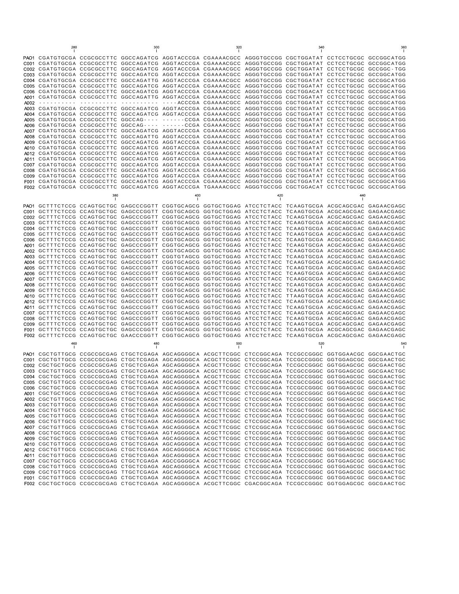|                                                                                                                                                                                           | 280 |     |                                                                                                                                                                                                                                                                                                                                                                                                                                                                                                                                                                                                                                                                                                                                                                                                                                                                                                                                                                                                                                                                                                                                                                                                                                                                                                                                                                                                                                                                                                                                                                                                                                                                                                                                                                                                                                                                                                                                                                                                                                                                                                                                                                                                                                                                                                                                                                                                                                              |     |     |     |                              |     |                                                                                                                                                                                                                                                                                                           |
|-------------------------------------------------------------------------------------------------------------------------------------------------------------------------------------------|-----|-----|----------------------------------------------------------------------------------------------------------------------------------------------------------------------------------------------------------------------------------------------------------------------------------------------------------------------------------------------------------------------------------------------------------------------------------------------------------------------------------------------------------------------------------------------------------------------------------------------------------------------------------------------------------------------------------------------------------------------------------------------------------------------------------------------------------------------------------------------------------------------------------------------------------------------------------------------------------------------------------------------------------------------------------------------------------------------------------------------------------------------------------------------------------------------------------------------------------------------------------------------------------------------------------------------------------------------------------------------------------------------------------------------------------------------------------------------------------------------------------------------------------------------------------------------------------------------------------------------------------------------------------------------------------------------------------------------------------------------------------------------------------------------------------------------------------------------------------------------------------------------------------------------------------------------------------------------------------------------------------------------------------------------------------------------------------------------------------------------------------------------------------------------------------------------------------------------------------------------------------------------------------------------------------------------------------------------------------------------------------------------------------------------------------------------------------------------|-----|-----|-----|------------------------------|-----|-----------------------------------------------------------------------------------------------------------------------------------------------------------------------------------------------------------------------------------------------------------------------------------------------------------|
| A002<br>A003<br>A004                                                                                                                                                                      |     | 380 | PAO1 CGATGTGCGA CCGCGCCTTC GGCCAGATCG AGGTACCCGA CGAAAACGCC AGGGTGCCGG CGCTGGATAT CCTCCTGCGC GCCGGCATGG<br>C001 CGATGTGCGA CCGCGCCTTC GGCCAGATCG AGGTACCCGA CGAAAACGCC AGGGTGCCGG CGCTGGATAT CCTCCTGCGC GCCGGCATGG<br>C002 CGATGTGCGA CCGCGCCTTC GGCCAGATCG AGGTACCCGA CGAAAACGCC AGGGTGCCGG CGCTGGATAT CCTCCTGCGC GCCGGC-TGG<br>C003 CGATGTGCGA CCGCGCCTTC GGCCAGATCG AGGTACCCGA CGAAAACGCC AGGGTGCCGG CGCTGGATAT CCTCCTGCGC GCCGGCATGG<br>C004 CGATGTGCGA CCGCGCCTTC GGCCAGATTG AGGTACCCGA CGAAAACGCC AGGGTGCCGG CGCTGGATAT CCTCCTGCGC GCCGGCATGG<br>C005 CGATGTGCGA CCGCGCCTTC GGCCAGATCG AGGTACCCGA CGAAAACGCC AGGGTGCCGG CGCTGGATAT CCTCCTGCGC GCCGGCATGG<br>C006 CGATGTGCGA CCGCGCCTTC GGCCAGATCG AGGTACCCGA CGAAAACGCC AGGGTGCCGG CGCTGGACAT CCTCCTGCGC<br>A001 CGATGTGCGA CCGCGCCTTC GGCCAGATTG AGGTACCCGA CGAAAACGCC AGGGTGCCGG CGCTGGATAT CCTCCTGCGC<br>CGATGTGCGA CCGCGCCTTC GGCCAGATCG AGGTACCCGA CGAAAACGCC AGGGTGCCGG CGCTGGATAT CCTCCTGCGC GCCGGCATGG<br>CGATGTGCGA CCGCGCCTTC GGCCAGATCG AGGTACCCGA CGAAAACGCC AGGGTGCCGG CGCTGGATAT CCTCCTGCGC<br>A005 CGATGTGCGA CCGCGCCTTC GGCCAG---- ------CCGA CGAAAACGCC AGGGTGCCGG CGCTGGATAT CCTCCTGCGC<br>A006 CGATGTGCGA CCGCGCCTTC GGCCAG---- ------CCGA CGAAAACGCC AGGGTGCCGG CGCTGGATAT CCTCCTGCGC<br>A007 CGATGTGCGA CCGCGCCTTC GGCCAGATCG AGGTACCCGA CGAAAACGCC AGGGTGCCGG CGCTGGATAT CCTCCTGCGC GCCGGCATGG<br>A008 CGATGTGCGA CCGCGCCTTC GGCCAGATTG AGGTACCCGA CGAAAACGCC AGGGTGCCGG CGCTGGATAT CCTCCTGCGC<br>A009 CGATGTGCGA CCGCGCCTTC GGCCAGATCG AGGTACCCGA CGAAAACGCC AGGGTGCCGG CGCTGGACAT CCTCCTGCGC<br>A010 CGATGTGCGA CCGCGCCTTC GGCCAGATCG AGGTACCCGA CGAAAACGCC AGGGTGCCGG CGCTGGATAT CCTCCTGCGC<br>A012 CGATGCGCGA CCGCGCCTTC GGCCAGATCG AGGTACCCGA CGAAAACGCC AGGGTGCCGG CGCTGGATAT CCTCCTGCGC GCCGGCATGG<br>A011 CGATGTGCGA CCGCGCCTTC GGCCAGATCG AGGTACCCGA CGAAAACGCC AGGGTGCCGG CGCTGGATAT CCTCCTGCGC GCCGGCATGG<br>C007 CGATGTGCGA CCGCGCCTTC GGCCAGATCG AGGTACCCGA CGAAAACGCC AGGGTGCCGG CGCTGGATAT CCTCCTGCGC<br>C008 CGATGTGCGA CCGCGCCTTC GGCCAGATCG AGGTACCCGA CGAAAACGCC AGGGTGCCGG CGCTGGATAT CCTCCTGCGC GCCGGCATGG<br>C009 CGATGTGCGA CCGCGCCTTC GGCCAGATCG AGGTACCCGA CGAAAACGCC AGGGTGCCGG CGCTGGATAT CCTCCTGCGC GCCGGCATGG<br>F001 CGATGTGCGA CCGCGCCTTC GGCCAGATCG AGGTACCCGA CGAAAACGCC AGGGTGCCGG CGCTGGATAT CCTCCTGCGC GCCGGCATGG<br>F002 CGATGTGCGA CCGCGCCTTC GGCCAGATCG AGGTACCCGA TGAAAACGCC AGGGTGCCGG CGCTGGACAT CCTCCTGCGC GCCGGCATGG | 400 |     | 420 |                              | 440 | <b>GCCGGCATGG</b><br><b>GCCGGCATGG</b><br>GCCGGCATGG<br><b>GCCGGCATGG</b><br>GCCGGCATGG<br>GCCGGCATGG<br><b>GCCGGCATGG</b><br><b>GCCGGCATGG</b><br><b>GCCGGCATGG</b><br>GCCGGCATGG                                                                                                                        |
|                                                                                                                                                                                           |     |     |                                                                                                                                                                                                                                                                                                                                                                                                                                                                                                                                                                                                                                                                                                                                                                                                                                                                                                                                                                                                                                                                                                                                                                                                                                                                                                                                                                                                                                                                                                                                                                                                                                                                                                                                                                                                                                                                                                                                                                                                                                                                                                                                                                                                                                                                                                                                                                                                                                              |     |     |     |                              |     |                                                                                                                                                                                                                                                                                                           |
| PAO1<br>C001<br>C002<br>C <sub>00</sub> 3<br>C004<br>C005<br>C006<br>A001<br>A002<br>A003<br>A004<br>A005<br>A006<br>A007<br>A008<br>A009<br>A010<br>A012<br>A011<br>C007<br>C008<br>F001 | 460 |     | GCTTTCTCCG CCAGTGCTGC GAGCCCGGTT CGGTGCAGCG GGTGCTGGAG ATCCTCTACC TCAAGTGCGA ACGCAGCGAC GAGAACGAGC<br>GCTTTCTCCG CCAGTGCTGC GAGCCCGGTT CGGTGCAGCG GGTGCTGGAG ATCCTCTACC TCAAGTGCGA ACGCAGCGAC GAGAACGAGC<br>GCTTTCTCCG CCAGTGCTGC GAGCCCGGTT CGGTGCAGCG GGTGCTGGAG ATCCTCTACC TCAAGTGCGA ACGCAGCGAC<br>GCTTTCTCCG CCAGTGCTGC GAGCCCGGTT CGGTGCAGCG GGTGCTGGAG ATCCTCTACC TCAAGTGCGA ACGCAGCGAC<br>GCTTTCTCCG CCAGTGCTGC GAGCCCGGTT CGGTGCAGCG GGTGCTGGAG ATCCTCTACC TCAAGTGCGA ACGCAGCGAC<br>GCTTTCTCCG CCAGTGCTGC GAGCCCGGTT CGGTGCAGCG GGTGCTGGAG ATCCTCTACC TCAAGTGCGA ACGCAGCGAC<br>GCTTTCTCCG CCAGTGCTGC GAGCCCGGTT CGGTGCAGCG GGTGCTGGAG ATCCTCTACC TCAAGTGCGA ACGCAGCGAC<br>GCTTTCTCCG CCAGTGCTGC GAGCCCGGTT CGGTGCAGCG GGTGCTGGAG ATCCTCTACC TCAAGTGCGA ACGCAGCGAC<br>GCTTTCTCCG CCAGTGCTGC GAGCCCGGTT CGGTGCAGCG GGTGCTGGAG ATCCTCTACC TCAAGTGCGA ACGCAGCGAC<br>GCTTTCTCCG CCAGTGCTGC GAGCCCGGTT CGGTGTAGCG GGTGCTGGAG ATCCTCTACC TCAAGTGCGA ACGCAGCGAC<br>GCTTTCTCCG CCAGTGCTGC GAGCCCGGTT CGGTGCAGCG GGTGCTGGAG ATCCTCTACC TCAAGTGCGA ACGCAGCGAC<br>GCTTTCTCCG CCAGTGCTGC GAGCCCGGTT CGGTGCAGCG GGTGCTGGAG ATCCTCTACC TCAAGTGCGA ACGCAGCGAC<br>GCTTTCTCCG CCAGTGCTGC GAGCCCGGTT CGGTGCAGCG GGTGCTGGAG ATCCTCTACC<br>GCTTTCTCCG CCAGTGCTGC GAGCCCGGTT CGGTGCAGCG GGTGCTGGAG ATCCTCTACC TCAAGCGCGA ACGCAGCGAC<br>GCTTTCTCCG CCAGTGCTGC GAGCCCGGTT CGGTGCAGCG GGTGCTGGAG ATCCTCTACC TCAAGTGCGA ACGCAGCGAC<br>GCTTTCTCCG CCAGTGCTGC GAGCCCGGTT CGGTGCAGCG GGTGCTGGAG ATCCTCTACC TCAAGTGCGA ACGCAGCGAC<br>GCTTTCTCCG CCAGTGCTGC GAGCCCGGTT CGGTGCAGCG GGTGCTGGAG ATCCTCTACC TTAAGTGCGA ACGCAGCGAC<br>GCTTTCTCCG CCAGTGCTGC GAGCCCGGTT CGGTGCAGCG GGTGCTGGAG ATCCTCTACC TCAAGTGCGA ACGCAGCGAC<br>GCTTTCTCCG CCAGTGCTGC GAGCCCGGTT CGGTGCAGCG GGTGCTGGAG ATCCTCTACC TCAAGTGCGA ACGCAGCGAC<br>GCTTTCTCCG CCAGTGCTGC GAGCCCGGTT CGGTGCAGCG GGTGCTGGAG ATCCTCTACC TCAAGTGCGA ACGCAGCGAC<br>GCTTTCTCCG CCAGTGCTGC GAGCCCGGTT CGGTGCAGCG GGTGCTGGAG ATCCTCTACC TCAAGTGCGA ACGCAGCGAC<br>GCTTTCTCCG CCAGTGCTGC GAGCCCGGTT CGGTGCAGCG GGTGCTGGAG ATCCTCTACC TCAAGTGCGA ACGCAGCGAC<br>GCTTTCTCCG CCAGTGCTGC GAGCCCGGTT CGGTGCAGCG GGTGCTGGAG ATCCTCTACC TCAAGTGCGA ACGCAGCGAC<br>F002 GCTTTCTCCG CCAGTGCTGC GAACCCGGTT CGGTGCAGCG GGTGCTGGAG ATCCTCTACC TCAAGTGCGA ACGCAGCGAC GAGAACGAGC<br>480                                                                                                                                                  |     | 500 |     | TCAAGTGCGA ACGCAGCGAC<br>520 |     | GAGAACGAGC<br>GAGAACGAGC<br>GAGAACGAGC<br>GAGAACGAGC<br>GAGAACGAGC<br>GAGAACGAGC<br>GAGAACGAGC<br>GAGAACGAGC<br>GAGAACGAGC<br>GAGAACGAGC<br>GAGAACGAGC<br>GAGAACGAGC<br>GAGAACGAGC<br>GAGAACGAGC<br>GAGAACGAGC<br>GAGAACGAGC<br>GAGAACGAGC<br>GAGAACGAGC<br>GAGAACGAGC<br>GAGAACGAGC<br>GAGAACGAGC<br>540 |
|                                                                                                                                                                                           |     |     |                                                                                                                                                                                                                                                                                                                                                                                                                                                                                                                                                                                                                                                                                                                                                                                                                                                                                                                                                                                                                                                                                                                                                                                                                                                                                                                                                                                                                                                                                                                                                                                                                                                                                                                                                                                                                                                                                                                                                                                                                                                                                                                                                                                                                                                                                                                                                                                                                                              |     |     |     |                              |     |                                                                                                                                                                                                                                                                                                           |
| C001                                                                                                                                                                                      |     |     | PAO1 CGCTGTTGCG CCGCCGCGAG CTGCTCGAGA AGCAGGGGCA ACGCTTCGGC CTCCGGCAGA TCCGCCGGGC GGTGGAACGC GGCGAACTGC<br>CGCTGTTGCG CCGCCGCGAG CTGCTCGAGA AGCAGGGGCA ACGCTTCGGC CTCCGGCAGA TCCGCCGGGC GGTGGAGCGC<br>C002 CGCTGCTGCG CCGCCGCGAG CTGCTCGAGA AGCAGGGGCA ACGCTTCGGC CTCCGGCAGA TCCGCCGGGC GGTGGAGCGC<br>C003 CGCTGTTGCG CCGCCGCGAG CTGCTCGAGA AGCAGGGGCA ACGCTTCGGC CTCCGGCAGA TCCGCCGGGC GGTGGAGCGC<br>C004 CGCTGCTGCG CCGCCGCGAG CTGCTCGAGA AGCAGGGGCA ACGCTTCGGC CTCCGGCAGA TCCGCCGGGC GGTGGAGCGC GGCGAACTGC<br>C005 CGCTGTTGCG CCGCCGCGAG CTGCTCGAGA AGCAGGGGCA ACGCTTCGGC CTCCGGCAGA TCCGCCGGGC GGTGGAGCGC GGCGAACTGC<br>C006 CGCTGCTGCG CCGCCGCGAG CTGCTCGAGA AGCAGGGGCA ACGCTTCGGC CTCCGGCAGA TCCGCCGGGC GGTGGAGCGC GGCGAACTGC<br>A001 CGCTGCTGCG CCGCCGCGAG CTGCTCGAGA AGCAGGGGCA ACGCTTCGGC CTCCGGCAGA TCCGCCGGGC GGTGGAGCGC GGCGAACTGC<br>A002 CGCTGTTGCG CCGCCGCGAG CTGCTCGAGA AGCAGGGGCA ACGCTTCGGC CTCCGGCAGA TCCGCCGGGC GGTGGAGCGC GGCGAACTGC<br>A003 CGCTGTTGCG CCGCCGCGAG CTGCTCGAGA AGCAGGGGCA ACGCTTCGGC CTCCGGCAGA TCCGCCGGGC GGTGGAGCGC GGCGAACTGC<br>A004 CGCTGTTGCG CCGCCGCGAG CTGCTCGAGA AGCAGGGGCA ACGCTTCGGC CTCCGGCAGA TCCGCTGGGC GGTGGAGCGC GGCGAACTGC<br>A005 CGCTGTTGCG CCGCCGCGAG CTGCTCGAGA AGCAGGGGCA ACGCTTCGGC CTCCGGCAGA TCCGCCGGGC GGTGGAGCGC GGCGAACTGC                                                                                                                                                                                                                                                                                                                                                                                                                                                                                                                                                                                                                                                                                                                                                                                                                                                                                                                                                                                                                                                                                                                                                   |     |     |     |                              |     | GGCGAACTGC<br>GGCGAACTGC<br>GGCGAACTGC                                                                                                                                                                                                                                                                    |
|                                                                                                                                                                                           |     |     | A006 CGCTGTTGCG CCGCCGCGAG CTGCTCGAGA AGCAGGGGCA ACGCTTCGGC CTCCGGCAGA TCCGCCGGGC GGTGGAGCGC GGCGAACTGC                                                                                                                                                                                                                                                                                                                                                                                                                                                                                                                                                                                                                                                                                                                                                                                                                                                                                                                                                                                                                                                                                                                                                                                                                                                                                                                                                                                                                                                                                                                                                                                                                                                                                                                                                                                                                                                                                                                                                                                                                                                                                                                                                                                                                                                                                                                                      |     |     |     |                              |     |                                                                                                                                                                                                                                                                                                           |
|                                                                                                                                                                                           |     |     | A007 CGCTGTTGCG CCGCCGCGAG CTGCTCGAGA AGCAGGGGCA ACGCTTCGGC CTCCGGCAGA TCCGCCGGGC GGTGGAGCGC GGCGAACTGC<br>A008 CGCTGCTGCG CCGCCGCGAG CTGCTCGAGA AGTAGGGGCA ACGCTTCGGC CTCCGGCAGA TCCGCCGGGC GGTGGAGCGC GGCGAACTGC                                                                                                                                                                                                                                                                                                                                                                                                                                                                                                                                                                                                                                                                                                                                                                                                                                                                                                                                                                                                                                                                                                                                                                                                                                                                                                                                                                                                                                                                                                                                                                                                                                                                                                                                                                                                                                                                                                                                                                                                                                                                                                                                                                                                                           |     |     |     |                              |     |                                                                                                                                                                                                                                                                                                           |
|                                                                                                                                                                                           |     |     | A009 CGCTGCTGCG CCGCCGCGAG CTGCTCGAGA AGCAGGGGCA ACGCTTCGGC CTCCGGCAGA TCCGCCGGGC GGTGGAGCGC GGCGAACTGC<br>A010 CGCTGTTGCG CCGCCGCGAG CTGCTCGAGA AGCAGGGGCA ACGCTTCGGC CTCCGGCAGA TCCGCCGGGC GGTGGAGCGC GGCGAACTGC                                                                                                                                                                                                                                                                                                                                                                                                                                                                                                                                                                                                                                                                                                                                                                                                                                                                                                                                                                                                                                                                                                                                                                                                                                                                                                                                                                                                                                                                                                                                                                                                                                                                                                                                                                                                                                                                                                                                                                                                                                                                                                                                                                                                                           |     |     |     |                              |     |                                                                                                                                                                                                                                                                                                           |
|                                                                                                                                                                                           |     |     | A012 CGCTGTTGCG CCGCCGCGAG CTGCTCGAGA AGCAGGGGCA ACGCTTCGGC CTCCGGCAGA TCCGCCGGGC GGTGGAGCGC GGCGAACTGC                                                                                                                                                                                                                                                                                                                                                                                                                                                                                                                                                                                                                                                                                                                                                                                                                                                                                                                                                                                                                                                                                                                                                                                                                                                                                                                                                                                                                                                                                                                                                                                                                                                                                                                                                                                                                                                                                                                                                                                                                                                                                                                                                                                                                                                                                                                                      |     |     |     |                              |     |                                                                                                                                                                                                                                                                                                           |
|                                                                                                                                                                                           |     |     | A011 CGCTGTTGCG CCGCCGCGAG CTGCTCGAGA AGCAGGGGCA ACGCTTCGGC CTCCGGCAGA TCCGCCGGGC GGTGGAGCGC GGCGAACTGC                                                                                                                                                                                                                                                                                                                                                                                                                                                                                                                                                                                                                                                                                                                                                                                                                                                                                                                                                                                                                                                                                                                                                                                                                                                                                                                                                                                                                                                                                                                                                                                                                                                                                                                                                                                                                                                                                                                                                                                                                                                                                                                                                                                                                                                                                                                                      |     |     |     |                              |     |                                                                                                                                                                                                                                                                                                           |
|                                                                                                                                                                                           |     |     | C007 CGCTGCTGCG CCGCCGCGAG CTGCTCGAGA AGCCGGGGCA ACGCTTCGGC CTCCGGCAGA TCCGCCGGGC GGTGGAGCGC GGCGAACTGC<br>C008 CGCTGTTGCG CCGCCGCGAG CTGCTCGAGA AGCAGGGGCA ACGCTTCGGC CTCCGGCAGA TCCGCCGGGC GGTGGAGCGC GGCGAACTGC                                                                                                                                                                                                                                                                                                                                                                                                                                                                                                                                                                                                                                                                                                                                                                                                                                                                                                                                                                                                                                                                                                                                                                                                                                                                                                                                                                                                                                                                                                                                                                                                                                                                                                                                                                                                                                                                                                                                                                                                                                                                                                                                                                                                                           |     |     |     |                              |     |                                                                                                                                                                                                                                                                                                           |
|                                                                                                                                                                                           |     |     | C009 CGCTGTTGCG CCGCCGCGAG TTGCTCGAGA AGCAGGGGCA ACGCTTCGGC CTCCGGCAGA TCCGCCGGGC GGTGGAGCGC GGCGAACTGC                                                                                                                                                                                                                                                                                                                                                                                                                                                                                                                                                                                                                                                                                                                                                                                                                                                                                                                                                                                                                                                                                                                                                                                                                                                                                                                                                                                                                                                                                                                                                                                                                                                                                                                                                                                                                                                                                                                                                                                                                                                                                                                                                                                                                                                                                                                                      |     |     |     |                              |     |                                                                                                                                                                                                                                                                                                           |
|                                                                                                                                                                                           |     |     | F001 CGCTGTTGCG CCGCCGCGAG CTGCTCGAGA AGCAGGGGCA ACGCTTCGGC CTCCGGCAGA TCCGCCGGGC GGTGGAGCGC GGCGAACTGC                                                                                                                                                                                                                                                                                                                                                                                                                                                                                                                                                                                                                                                                                                                                                                                                                                                                                                                                                                                                                                                                                                                                                                                                                                                                                                                                                                                                                                                                                                                                                                                                                                                                                                                                                                                                                                                                                                                                                                                                                                                                                                                                                                                                                                                                                                                                      |     |     |     |                              |     |                                                                                                                                                                                                                                                                                                           |
|                                                                                                                                                                                           |     |     | F002 CGCTGCTGCG CCGCCGCGAG CTGCTCGAGA AGCAGGGGCA ACGCTTCGGC CGACGGCAGA TCCGCCGGGC GGTGGAGCGC GGCGAACTGC                                                                                                                                                                                                                                                                                                                                                                                                                                                                                                                                                                                                                                                                                                                                                                                                                                                                                                                                                                                                                                                                                                                                                                                                                                                                                                                                                                                                                                                                                                                                                                                                                                                                                                                                                                                                                                                                                                                                                                                                                                                                                                                                                                                                                                                                                                                                      |     |     |     |                              |     |                                                                                                                                                                                                                                                                                                           |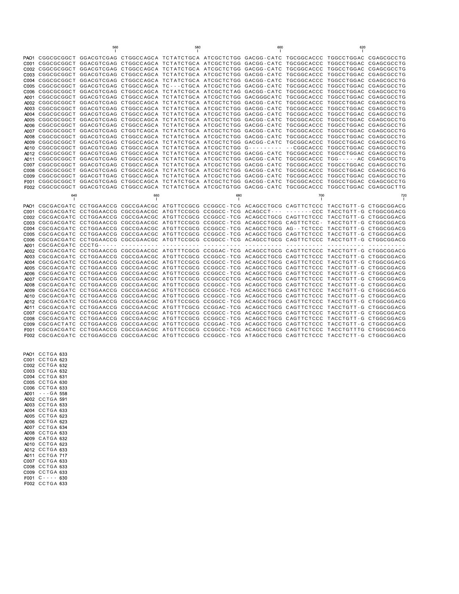|              |                                                                                                                                                                                                                    | 560 |                                                                                                    | 580 |     | 600 |                       | 620                   |                          |
|--------------|--------------------------------------------------------------------------------------------------------------------------------------------------------------------------------------------------------------------|-----|----------------------------------------------------------------------------------------------------|-----|-----|-----|-----------------------|-----------------------|--------------------------|
|              | PAO1 CGGCGCGGCT GGACGTCGAG CTGGCCAGCA TCTATCTGCA ATCGCTCTGG GACGG-CATC TGCGGCACCC TGGCCTGGAC CGAGCGCCTG                                                                                                            |     |                                                                                                    |     |     |     |                       |                       |                          |
|              | C001 CGGCGCGGCT GGACGTCGAG CTGGCCAGCA TCTATCTGCA ATCGCTCTGG GACGG-CATC TGCGGCACCC TGGCCTGGAC                                                                                                                       |     |                                                                                                    |     |     |     |                       |                       | CGAGCGCCTG               |
|              | C002 CGGCGCGCCT GGACGTCGAG CTGGCCAGCA TCTATCTGCA ATCGCTCTGG GACGG-CATC                                                                                                                                             |     |                                                                                                    |     |     |     | TGCGGCACCC            | TGGCCTGGAC            | CGAGCGCCTG               |
| C003         | CGGCGCGGCT GGACGTCGAG CTGGCCAGCA TCTATCTGCA ATCGCTCTGG GACGG-CATC                                                                                                                                                  |     |                                                                                                    |     |     |     | TGCGGCACCC TGGCCTGGAC |                       | CGAGCGCCTG               |
| C004         |                                                                                                                                                                                                                    |     | CGGCGCGGCT GGACGTCGAG CTGGCCAGCA TCTATCTGCA ATCGCTCTGG GACGG-CATC TGCGGCACCC TGGCCTGGAC            |     |     |     |                       |                       | CGAGCGCCTG               |
| C005         |                                                                                                                                                                                                                    |     | CGGCGCGGCT GGACGTCGAG CTGGCCAGCA TC---CTGCA ATCGCTCTGG GACGG-CATC                                  |     |     |     | TGCGGCACCC            | TGGCCTGGAC            | CGAGCGCCTG               |
| C006         |                                                                                                                                                                                                                    |     | CGGCGCGGCT GGACGTCGAG CTGGCCAGCA TCTATCTGCA ATCGCTCTAG GACGG-CATC TGCGGCACCC TGGCCTGGAC CGAGCGCCTG |     |     |     |                       |                       |                          |
| A001         |                                                                                                                                                                                                                    |     | CGGCGCGGCT GGACGTCGAG CTGGCCAGCA TCTATCTGCA ATCGCTCTGG GACGGGCATC                                  |     |     |     | TGCGGCACCC            | TGGCCTGGAC            | CGAGCGCCTG               |
| A002         | CGGCGCGGCT GGACGTCGAG CTGGCCAGCA TCTATCTGCA ATCGCTCTGG GACGG-CATC TGCGGCACCC TGGCCTGGAC                                                                                                                            |     |                                                                                                    |     |     |     |                       |                       | CGAGCGCCTG               |
|              | A003 CGGCGCGGCT GGACGTCGAG CTGGCCAGCA TCTATCTGCA ATCGCTCTGG GACGG-CATC TGCGGCACCC TGGCCTGGAC CGAGCGCCTG<br>A004 CGGCGCGGCT GGACGTCGAG CTGGCCAGCA TCTATCTGCA ATCGCTCTGG GACGG-CATC                                  |     |                                                                                                    |     |     |     | TGCGGCACCC            |                       |                          |
| A005         | CGGCGCGGCT GGACGTCGAG CTGGCCAGCA TCTATCTGCA ATCGCTCTGG GACGG-CATC TGCGGCACCC TGGCCTGGAC                                                                                                                            |     |                                                                                                    |     |     |     |                       | TGGCCTGGAC            | CGAGCGCCTG<br>CGAGCGCCTG |
| A006         |                                                                                                                                                                                                                    |     | CGGCGCGCCT GGACGTCGAG CTGGCCAGCA TCTATCTGCA ATCGCTCTGG GACGG-CATC TGCGGCACCC TGGCCTGGAC            |     |     |     |                       |                       | CGAGCGCCTG               |
|              | A007 CGGCGCGCCT GGACGTCGAG CTGGTCAGCA TCTATCTGCA ATCGCTCTGG GACGG-CATC TGCGGCACCC TGGCCTGGAC                                                                                                                       |     |                                                                                                    |     |     |     |                       |                       | CGAGCGCCTG               |
| A008         | CGGCGCGCGCT GGACGTCGAG CTGGCCAGCA TCTATCTGCA ATCGCTCTGG GACGG-CATC TGCGGCACCC TGGCCTGGAC CGAGCGCCTG                                                                                                                |     |                                                                                                    |     |     |     |                       |                       |                          |
| A009         |                                                                                                                                                                                                                    |     | CGGCGCGGCT GGACGTCGAG CTGGCCAGCA TCTATCTGCA ATCGCTCTGG GACGG-CATC TGCGGCACCC                       |     |     |     |                       | TGGCCTGGAC            | CGAGCGCCTG               |
| A010         |                                                                                                                                                                                                                    |     | CGGCGCGGCT GGACGTCGAG CTGGCCAGCA TCTATCTGCA ATCGCTCTGG G---------                                  |     |     |     | --CGGCACCC            | TGGCCTGGAC CGAGCGCCTG |                          |
|              | A012 CGGCGCGGCT GGACGTCGAG CTGGCCAGCA TCTATCTGCA ATCGCTCTGG GACGG-CATC TGCGGCACCC                                                                                                                                  |     |                                                                                                    |     |     |     |                       | TGGCCTGGAC            | CGAGCGCCTG               |
| A011         |                                                                                                                                                                                                                    |     | CGGCGCGGCT GGACGTCGAG CTGGCCAGCA TCTATCTGCA ATCGCTCTGG GACGG-CATC TGCGGCACCC                       |     |     |     |                       |                       | CGAGCGCCTG               |
|              | COO7 CGGCGCGGCT GGACGTCGAG CTGGCCAGCA TCTATCTGCA ATCGCTCTGG GACGG-CATC TGCGGCACCC TGGCCTGGAC CGAGCGCCTG                                                                                                            |     |                                                                                                    |     |     |     |                       |                       |                          |
| C008         | CGGCGCGGCT GGACGTCGAG CTGGCCAGCA TCTATCTGCA ATCGCTCTGG GACGG-CATC TGCGGCACCC TGGCCTGGAC                                                                                                                            |     |                                                                                                    |     |     |     |                       |                       | CGAGCGCCTG               |
| C009         | CGGCGCGCGCT GGACGTTGAG CTGGCCAGCA TCTATCTGCA ATCGCTCTGG GACGG-CATC TGCGGCACCC TGGCCTGGAC CGAGCGCCTG                                                                                                                |     |                                                                                                    |     |     |     |                       |                       |                          |
| F001         | CGGCGCGGCT GGACGTCGAG CTGGCCAGCA TCTATCTGCA ATCGCTCTGG GACGG-CATC TGCGGCACCC TGGCCTGGAC CGAGCGCCTG                                                                                                                 |     |                                                                                                    |     |     |     |                       |                       |                          |
|              | F002 CGGCGCGGCT GGACGTCGAG CTGGCCAGCA TCTATCTGCA ATCGCTGTGG GACGG-CATC TGCGGCACCC TGGCCTGGAC CGAGCGCTTG                                                                                                            |     |                                                                                                    |     |     |     |                       |                       |                          |
|              |                                                                                                                                                                                                                    |     |                                                                                                    |     |     |     |                       |                       |                          |
|              | 640                                                                                                                                                                                                                |     | 660                                                                                                |     | 680 |     | 700                   |                       | 720                      |
|              |                                                                                                                                                                                                                    |     |                                                                                                    |     |     |     |                       |                       |                          |
|              | PAO1 CGCGACGATC CCTGGAACCG CGCCGAACGC ATGTTCCGCG CCGGCC-TCG ACAGCCTGCG CAGTTCTCCC TACCTGTT-G CTGGCGGACG<br>C001 CGCGACGATC CCTGGAACCG CGCCGAACGC ATGTTCCGCG CCGGCC-TCG ACAGCCT--- -------CCC TACCTGTT-G CTGGCGGACG |     |                                                                                                    |     |     |     |                       |                       |                          |
| C002         |                                                                                                                                                                                                                    |     | CGCGACGATC CCTGGAACCG CGCCGAACGC ATGTTCCGCG CCGGCC-TCG ACAGCCTGCG CAGTTCTCCC TACCTGTT-G CTGGCGGACG |     |     |     |                       |                       |                          |
| C003         |                                                                                                                                                                                                                    |     | CGCGACGATC CCTGGAACCG CGCCGAACGC ATGTTCCGCG CCGGCC-TCG ACAGCCTGCG CAGTTCTCC- TACCTGTT-G CTGGCGGACG |     |     |     |                       |                       |                          |
|              | C004 CGCGACGATC CCTGGAACCG CGCCGAACGC ATGTTCCGCG CCGGCC-TCG ACAGCCTGCG AG--TCTCCC TACCTGTT-G CTGGCGGACG                                                                                                            |     |                                                                                                    |     |     |     |                       |                       |                          |
| C005.        | CGCGACGATC CCTGGAACCG CGCCGAACGC ATGTTCCGCG CCGGCC-TCG ACAGCCTGCG CAGTTCTCCC TACCTGTT-G CTGGCGGACG                                                                                                                 |     |                                                                                                    |     |     |     |                       |                       |                          |
| C006         |                                                                                                                                                                                                                    |     | CGCGACGATC CCTGGAACCG CGCCGAACGC ATGTTCCGCG CCGGCC-TCG ACAGCCTGCG CAGTTCTCCC                       |     |     |     |                       | TACCTGTT-G            | CTGGCGGACG               |
|              | A001 CGCGACGATC CCCTG-----                                                                                                                                                                                         |     |                                                                                                    |     |     |     |                       |                       |                          |
| A002         |                                                                                                                                                                                                                    |     | CGCGACGATC CCTGGAACCG CGCCGAACGC ATGTTTCGCG CCGGAC-TCG ACAGCCTGCG CAGTTCTCCC TACCTGTT-G CTGGCGGACG |     |     |     |                       |                       |                          |
| A003         | CGCGACGATC CCTGGAACCG CGCCGAACGC ATGTTCCGCG CCGGCC-TCG ACAGCCTGCG CAGTTCTCCC                                                                                                                                       |     |                                                                                                    |     |     |     |                       | TACCTGTT-G CTGGCGGACG |                          |
|              | A004 CGCGACGATC CCTGGAACCG CGCCGAACGC ATGTTCCGCG CCGGCC-TCG ACAGCCTGCG CAGTTCTCCC TACCTGTT-G CTGGCGGACG                                                                                                            |     |                                                                                                    |     |     |     |                       |                       |                          |
| A005         | CGCGACGATC CCTGGAACCG CGCCGAACGC ATGTTCCGCG CCGGCC-TCG ACAGCCTGCG CAGTTCTCCC TACCTGTT-G CTGGCGGACG                                                                                                                 |     |                                                                                                    |     |     |     |                       |                       |                          |
| A006         |                                                                                                                                                                                                                    |     | CGCGACGATC CCTGGAACCG CGCCGAACGC ATGTTCCGCG CCGGCC-TCG ACAGCCTGCG CAGTTCTCCC TACCTGTT-G CTGGCGGACG |     |     |     |                       |                       |                          |
| A007         |                                                                                                                                                                                                                    |     | CGCGACGATC CCTGGAACCG CGCCGAACGC ATGTTCCGCG CCGGCCCTCG ACAGCCTGCG CAGTTCTCCC TACCTGTT-G CTGGCGGACG |     |     |     |                       |                       |                          |
| A008         | CGCGACGATC CCTGGAACCG CGCCGAACGC ATGTTCCGCG CCGGCC-TCG ACAGCCTGCG CAGTTCTCCC TACCTGTT-G CTGGCGGACG                                                                                                                 |     |                                                                                                    |     |     |     |                       |                       |                          |
| A009         |                                                                                                                                                                                                                    |     | CGCGACGATC CCTGGAACCG CGCCGAACGC ATGTTCCGCG CCGGCC-TCG ACAGCCTGCG CAGTTCTCCC TACCTGTT-G CTGGCGGACG |     |     |     |                       |                       |                          |
| A010         |                                                                                                                                                                                                                    |     | CGCGACGATC CCTGGAACCG CGCCGAACGC ATGTTCCGCG CCGGCC-TCG ACAGCCTGCG CAGTTCTCCC TACCTGTT-G CTGGCGGACG |     |     |     |                       |                       |                          |
|              | A012 CGCGACGATC CCTGGAACCG CGCCGAACGC ATGTTCCGCG CCGGCC-TCG ACAGCCTGCG CAGTTCTCCC TACCTGTT-G CTGGCGGACG                                                                                                            |     |                                                                                                    |     |     |     |                       |                       |                          |
| A011         |                                                                                                                                                                                                                    |     | CGCGACGATC CCTGGAACCG CGCCGAACGC ATGTTTCGCG CCGGAC-TCG ACAGCCTGCG CAGTTCTCCC TACCTGTT-G CTGGCGGACG |     |     |     |                       |                       |                          |
|              | C007 CGCGACGATC CCTGGAACCG CGCCGAACGC ATGTTCCGCG CCGGCC-TCG ACAGCCTGCG CAGTTCTCCC                                                                                                                                  |     |                                                                                                    |     |     |     |                       | TACCTGTT-G CTGGCGGACG |                          |
| C008<br>C009 | CGCGACGATC CCTGGAACCG CGCCGAACGC ATGTTCCGCG CCGGCC-TCG ACAGCCTGCG CAGTTCTCCC TACCTGTT-G CTGGCGGACG                                                                                                                 |     |                                                                                                    |     |     |     |                       |                       |                          |
| F001         | CGCGACGATC CCTGGAACCG CGCCGAACGC ATGTTCCGCG CCGGCC-TCG ACAGCCTGCG CAGTTCTCCC TACCTGTTTG CTGGCGGACG                                                                                                                 |     | CGCGACTATC CCTGGAACCG CGCCGAACGC ATGTTCCGCG CCGGAC-TCG ACAGCCTGCG CAGTTCTCCC TACCTGTT-G CTGGCGGACG |     |     |     |                       |                       |                          |
|              | F002 CGCGACGATC CCTGGAGCCG CGCCGAACGC ATGTTCCGCG CCGGCC-TCG ATAGCCTGCG CAGTTCTCCC TACCTCTT-G CTGGCGGACG                                                                                                            |     |                                                                                                    |     |     |     |                       |                       |                          |

| PAO <sub>1</sub> | CCTGA 633     |  |
|------------------|---------------|--|
| C001             | CCTGA 623     |  |
| C002             | CCTGA 632     |  |
| C003             | CCTGA 632     |  |
| C004             | CCTGA 631     |  |
| C005             | CCTGA 630     |  |
| C006             | CCTGA 633     |  |
| A001             | - - - GA 558  |  |
| A002             | CCTGA 591     |  |
| A003             | CCTGA 633     |  |
| A004             | CCTGA 633     |  |
| A005             | CCTGA 623     |  |
| A006             | CCTGA 623     |  |
| A007             | CCTGA 634     |  |
| A008             | CCTGA 633     |  |
| A009             | CATGA 632     |  |
| A010             | CCTGA 623     |  |
| A012             | CCTGA 633     |  |
| A011             | CCTGA 717     |  |
| C007             | CCTGA 633     |  |
| C008             | CCTGA 633     |  |
| C009             | CCTGA 633     |  |
| F001             | C - - - - 630 |  |
| F002             | CCTGA 633     |  |
|                  |               |  |